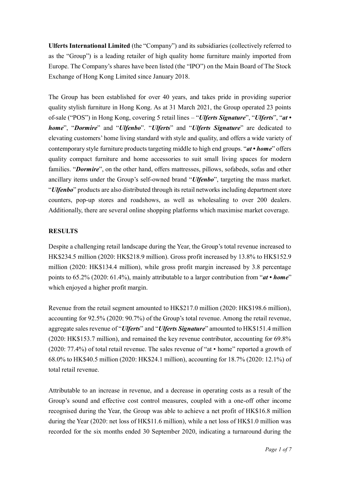**Ulferts International Limited** (the "Company") and its subsidiaries (collectively referred to as the "Group") is a leading retailer of high quality home furniture mainly imported from Europe. The Company's shares have been listed (the "IPO") on the Main Board of The Stock Exchange of Hong Kong Limited since January 2018.

The Group has been established for over 40 years, and takes pride in providing superior quality stylish furniture in Hong Kong. As at 31 March 2021, the Group operated 23 points of-sale ("POS") in Hong Kong, covering 5 retail lines – "*Ulferts Signature*", "*Ulferts*", "*at • home*", "*Dormire*" and "*Ulfenbo*". "*Ulferts*" and "*Ulferts Signature*" are dedicated to elevating customers' home living standard with style and quality, and offers a wide variety of contemporary style furniture products targeting middle to high end groups. "*at • home*" offers quality compact furniture and home accessories to suit small living spaces for modern families. "*Dormire*", on the other hand, offers mattresses, pillows, sofabeds, sofas and other ancillary items under the Group's self-owned brand "*Ulfenbo*", targeting the mass market. "*Ulfenbo*" products are also distributed through its retail networks including department store counters, pop-up stores and roadshows, as well as wholesaling to over 200 dealers. Additionally, there are several online shopping platforms which maximise market coverage.

#### **RESULTS**

Despite a challenging retail landscape during the Year, the Group's total revenue increased to HK\$234.5 million (2020: HK\$218.9 million). Gross profit increased by 13.8% to HK\$152.9 million (2020: HK\$134.4 million), while gross profit margin increased by 3.8 percentage points to 65.2% (2020: 61.4%), mainly attributable to a larger contribution from "*at • home*" which enjoyed a higher profit margin.

Revenue from the retail segment amounted to HK\$217.0 million (2020: HK\$198.6 million), accounting for 92.5% (2020: 90.7%) of the Group's total revenue. Among the retail revenue, aggregate sales revenue of "*Ulferts*" and "*Ulferts Signature*" amounted to HK\$151.4 million (2020: HK\$153.7 million), and remained the key revenue contributor, accounting for 69.8% (2020: 77.4%) of total retail revenue. The sales revenue of "at • home" reported a growth of 68.0% to HK\$40.5 million (2020: HK\$24.1 million), accounting for 18.7% (2020: 12.1%) of total retail revenue.

Attributable to an increase in revenue, and a decrease in operating costs as a result of the Group's sound and effective cost control measures, coupled with a one-off other income recognised during the Year, the Group was able to achieve a net profit of HK\$16.8 million during the Year (2020: net loss of HK\$11.6 million), while a net loss of HK\$1.0 million was recorded for the six months ended 30 September 2020, indicating a turnaround during the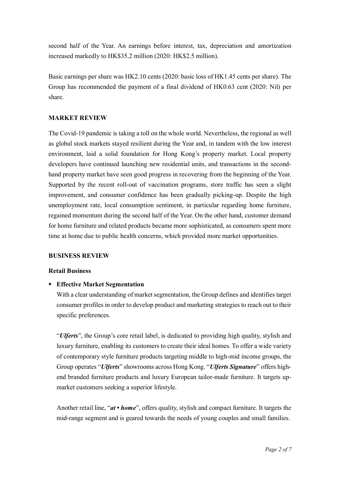second half of the Year. An earnings before interest, tax, depreciation and amortization increased markedly to HK\$35.2 million (2020: HK\$2.5 million).

Basic earnings per share was HK2.10 cents (2020: basic loss of HK1.45 cents per share). The Group has recommended the payment of a final dividend of HK0.63 cent (2020: Nil) per share.

# **MARKET REVIEW**

The Covid-19 pandemic is taking a toll on the whole world. Nevertheless, the regional as well as global stock markets stayed resilient during the Year and, in tandem with the low interest environment, laid a solid foundation for Hong Kong's property market. Local property developers have continued launching new residential units, and transactions in the secondhand property market have seen good progress in recovering from the beginning of the Year. Supported by the recent roll-out of vaccination programs, store traffic has seen a slight improvement, and consumer confidence has been gradually picking-up. Despite the high unemployment rate, local consumption sentiment, in particular regarding home furniture, regained momentum during the second half of the Year. On the other hand, customer demand for home furniture and related products became more sophisticated, as consumers spent more time at home due to public health concerns, which provided more market opportunities.

#### **BUSINESS REVIEW**

#### **Retail Business**

## **Effective Market Segmentation**

With a clear understanding of market segmentation, the Group defines and identifies target consumer profiles in order to develop product and marketing strategies to reach out to their specific preferences.

"*Ulferts*", the Group's core retail label, is dedicated to providing high quality, stylish and luxury furniture, enabling its customers to create their ideal homes. To offer a wide variety of contemporary style furniture products targeting middle to high-mid income groups, the Group operates "*Ulferts*" showrooms across Hong Kong. "*Ulferts Signature*" offers highend branded furniture products and luxury European tailor-made furniture. It targets upmarket customers seeking a superior lifestyle.

Another retail line, "*at • home*", offers quality, stylish and compact furniture. It targets the mid-range segment and is geared towards the needs of young couples and small families.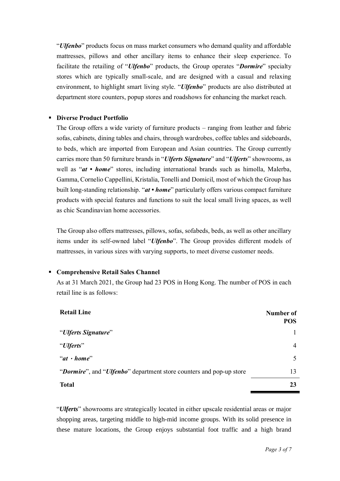"*Ulfenbo*" products focus on mass market consumers who demand quality and affordable mattresses, pillows and other ancillary items to enhance their sleep experience. To facilitate the retailing of "*Ulfenbo*" products, the Group operates "*Dormire*" specialty stores which are typically small-scale, and are designed with a casual and relaxing environment, to highlight smart living style. "*Ulfenbo*" products are also distributed at department store counters, popup stores and roadshows for enhancing the market reach.

## **Diverse Product Portfolio**

The Group offers a wide variety of furniture products – ranging from leather and fabric sofas, cabinets, dining tables and chairs, through wardrobes, coffee tables and sideboards, to beds, which are imported from European and Asian countries. The Group currently carries more than 50 furniture brands in "*Ulferts Signature*" and "*Ulferts*" showrooms, as well as "*at • home*" stores, including international brands such as himolla, Malerba, Gamma, Cornelio Cappellini, Kristalia, Tonelli and Domicil, most of which the Group has built long-standing relationship. "*at • home*" particularly offers various compact furniture products with special features and functions to suit the local small living spaces, as well as chic Scandinavian home accessories.

The Group also offers mattresses, pillows, sofas, sofabeds, beds, as well as other ancillary items under its self-owned label "*Ulfenbo*". The Group provides different models of mattresses, in various sizes with varying supports, to meet diverse customer needs.

#### **Comprehensive Retail Sales Channel**

As at 31 March 2021, the Group had 23 POS in Hong Kong. The number of POS in each retail line is as follows:

| <b>Retail Line</b>                                                  | Number of<br><b>POS</b> |
|---------------------------------------------------------------------|-------------------------|
| "Ulferts Signature"                                                 |                         |
| "Ulferts"                                                           | 4                       |
| " $at \cdot home"$                                                  | 5                       |
| "Dormire", and "Ulfenbo" department store counters and pop-up store | 13                      |
| <b>Total</b>                                                        | 23                      |

"*Ulferts*" showrooms are strategically located in either upscale residential areas or major shopping areas, targeting middle to high-mid income groups. With its solid presence in these mature locations, the Group enjoys substantial foot traffic and a high brand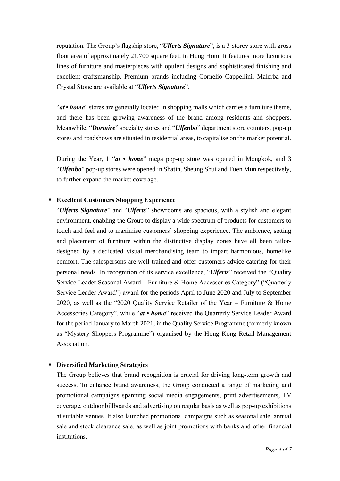reputation. The Group's flagship store, "*Ulferts Signature*", is a 3-storey store with gross floor area of approximately 21,700 square feet, in Hung Hom. It features more luxurious lines of furniture and masterpieces with opulent designs and sophisticated finishing and excellent craftsmanship. Premium brands including Cornelio Cappellini, Malerba and Crystal Stone are available at "*Ulferts Signature*".

"*at • home*" stores are generally located in shopping malls which carries a furniture theme, and there has been growing awareness of the brand among residents and shoppers. Meanwhile, "*Dormire*" specialty stores and "*Ulfenbo*" department store counters, pop-up stores and roadshows are situated in residential areas, to capitalise on the market potential.

During the Year, 1 "*at • home*" mega pop-up store was opened in Mongkok, and 3 "*Ulfenbo*" pop-up stores were opened in Shatin, Sheung Shui and Tuen Mun respectively, to further expand the market coverage.

#### **Excellent Customers Shopping Experience**

"*Ulferts Signature*" and "*Ulferts*" showrooms are spacious, with a stylish and elegant environment, enabling the Group to display a wide spectrum of products for customers to touch and feel and to maximise customers' shopping experience. The ambience, setting and placement of furniture within the distinctive display zones have all been tailordesigned by a dedicated visual merchandising team to impart harmonious, homelike comfort. The salespersons are well-trained and offer customers advice catering for their personal needs. In recognition of its service excellence, "*Ulferts*" received the "Quality Service Leader Seasonal Award – Furniture & Home Accessories Category" ("Quarterly Service Leader Award") award for the periods April to June 2020 and July to September 2020, as well as the "2020 Quality Service Retailer of the Year – Furniture & Home Accessories Category", while "*at • home*" received the Quarterly Service Leader Award for the period January to March 2021, in the Quality Service Programme (formerly known as "Mystery Shoppers Programme") organised by the Hong Kong Retail Management Association.

#### **Diversified Marketing Strategies**

The Group believes that brand recognition is crucial for driving long-term growth and success. To enhance brand awareness, the Group conducted a range of marketing and promotional campaigns spanning social media engagements, print advertisements, TV coverage, outdoor billboards and advertising on regular basis as well as pop-up exhibitions at suitable venues. It also launched promotional campaigns such as seasonal sale, annual sale and stock clearance sale, as well as joint promotions with banks and other financial institutions.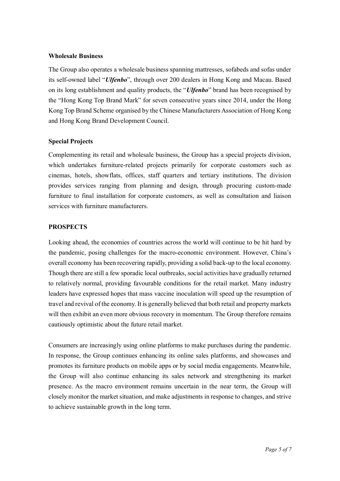#### **Wholesale Business**

The Group also operates a wholesale business spanning mattresses, sofabeds and sofas under its self-owned label "*Ulfenbo*", through over 200 dealers in Hong Kong and Macau. Based on its long establishment and quality products, the "*Ulfenbo*" brand has been recognised by the "Hong Kong Top Brand Mark" for seven consecutive years since 2014, under the Hong Kong Top Brand Scheme organised by the Chinese Manufacturers Association of Hong Kong and Hong Kong Brand Development Council.

## **Special Projects**

Complementing its retail and wholesale business, the Group has a special projects division, which undertakes furniture-related projects primarily for corporate customers such as cinemas, hotels, showflats, offices, staff quarters and tertiary institutions. The division provides services ranging from planning and design, through procuring custom-made furniture to final installation for corporate customers, as well as consultation and liaison services with furniture manufacturers.

## **PROSPECTS**

Looking ahead, the economies of countries across the world will continue to be hit hard by the pandemic, posing challenges for the macro-economic environment. However, China's overall economy has been recovering rapidly, providing a solid back-up to the local economy. Though there are still a few sporadic local outbreaks, social activities have gradually returned to relatively normal, providing favourable conditions for the retail market. Many industry leaders have expressed hopes that mass vaccine inoculation will speed up the resumption of travel and revival of the economy. It is generally believed that both retail and property markets will then exhibit an even more obvious recovery in momentum. The Group therefore remains cautiously optimistic about the future retail market.

Consumers are increasingly using online platforms to make purchases during the pandemic. In response, the Group continues enhancing its online sales platforms, and showcases and promotes its furniture products on mobile apps or by social media engagements. Meanwhile, the Group will also continue enhancing its sales network and strengthening its market presence. As the macro environment remains uncertain in the near term, the Group will closely monitor the market situation, and make adjustments in response to changes, and strive to achieve sustainable growth in the long term.